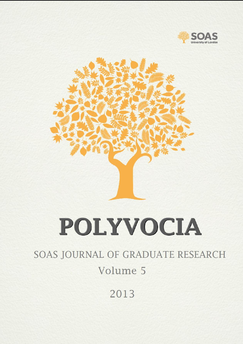



# POLYVOCIA

# SOAS JOURNAL OF GRADUATE RESEARCH Volume 5

2013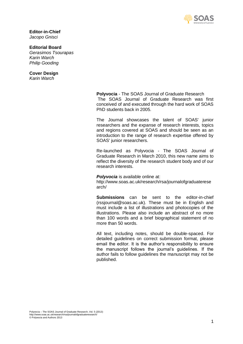

**Editor-in-Chief**  *Jacopo Gnisci*

**Editorial Board**

*Gerasimos Tsourapas Karin Warch Philip Gooding*

# **Cover Design**

*Karin Warch*

**Polyvocia** - The SOAS Journal of Graduate Research The SOAS Journal of Graduate Research was first conceived of and executed through the hard work of SOAS PhD students back in 2005.

The Journal showcases the talent of SOAS' junior researchers and the expanse of research interests, topics and regions covered at SOAS and should be seen as an introduction to the range of research expertise offered by SOAS' junior researchers.

Re-launched as Polyvocia - The SOAS Journal of Graduate Research in March 2010, this new name aims to reflect the diversity of the research student body and of our research interests.

#### **Polyvocia** is available online at:

http://www.soas.ac.uk/research/rsa/journalofgraduaterese arch/

**Submissions** can be sent to the editor-in-chief (rssjournal@soas.ac.uk). These must be in English and must include a list of illustrations and photocopies of the illustrations. Please also include an abstract of no more than 100 words and a brief biographical statement of no more than 50 words.

All text, including notes, should be double-spaced. For detailed guidelines on correct submission format, please email the editor. It is the author's responsibility to ensure the manuscript follows the journal's guidelines. If the author fails to follow guidelines the manuscript may not be published.